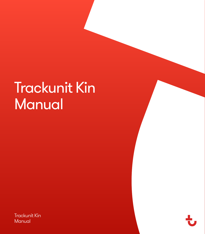# Trackunit Kin **Manual**

Trackunit Kin Manual

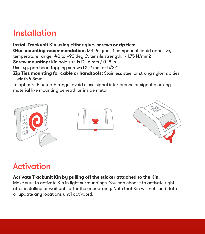#### Installation

#### **Install Trackunit Kin using either glue, screws or zip ties:**

**Glue mounting recommendation:** MS Polymer, 1 component liquid adhesive, temperature range: -40 to +90 deg C, tensile strength: > 1.75 N/mm2

**Screw mounting:** Kin hole size is D4.6 mm / 0.18 in.

Use e.g. pan head tapping screws D4.2 mm or 5/32"

**Zip Ties mounting for cable or handtools:** Stainless steel or strong nylon zip ties  $-$  width  $4.8$ mm.

To optimize Bluetooth range, avoid close signal interference or signal-blocking material like mounting beneath or inside metal.



### Activation

#### **Activate Trackunit Kin by pulling off the sticker attached to the Kin.**

Make sure to activate Kin in light surroundings. You can choose to activate right after installing or wait until after the onboarding. Note that Kin will not send data or update any locations until activated.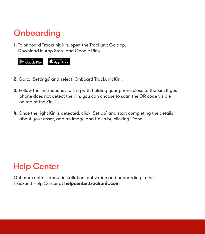## **Onboarding**

**1.** To onboard Trackunit Kin, open the Trackunit Go app. Download in App Store and Google Play



- **2.** Go to 'Settings' and select 'Onboard Trackunit Kin'.
- **3.** Follow the instructions starting with holding your phone close to the Kin. If your phone does not detect the Kin, you can choose to scan the QR code visible on top of the Kin.
- **4.** Once the right Kin is detected, click 'Set Up' and start completing the details about your asset, add an image and finish by clicking 'Done'.

## Help Center

Get more details about installation, activation and onboarding in the Trackunit Help Center at **helpcenter.trackunit.com**